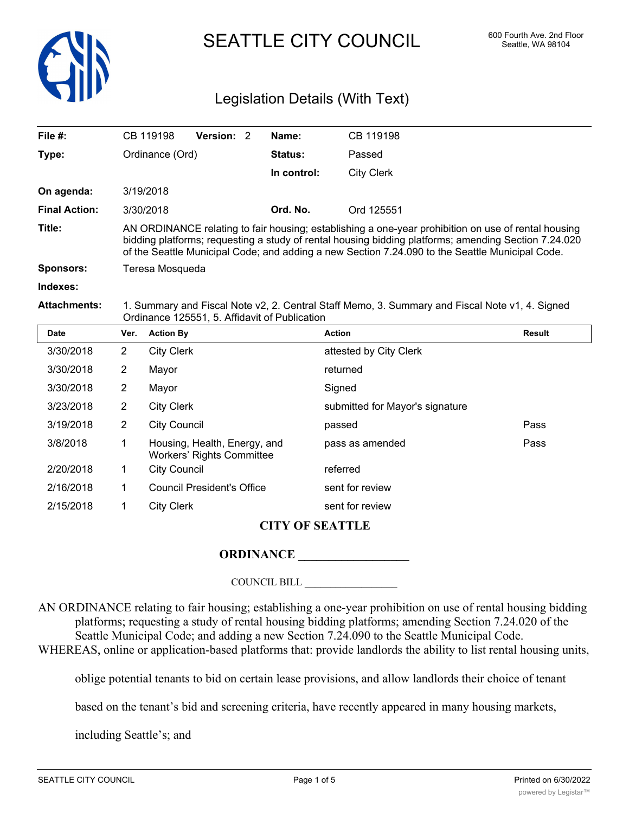

# SEATTLE CITY COUNCIL 600 Fourth Ave. 2nd Floor

## Legislation Details (With Text)

| File #:              |                                                                                                                                                                                                                                                                                                                | CB 119198                                                        | Version: 2                        |  | Name:       | CB 119198                       |               |  |
|----------------------|----------------------------------------------------------------------------------------------------------------------------------------------------------------------------------------------------------------------------------------------------------------------------------------------------------------|------------------------------------------------------------------|-----------------------------------|--|-------------|---------------------------------|---------------|--|
| Type:                | Ordinance (Ord)                                                                                                                                                                                                                                                                                                |                                                                  |                                   |  | Status:     | Passed                          |               |  |
|                      |                                                                                                                                                                                                                                                                                                                |                                                                  |                                   |  | In control: | <b>City Clerk</b>               |               |  |
| On agenda:           |                                                                                                                                                                                                                                                                                                                | 3/19/2018                                                        |                                   |  |             |                                 |               |  |
| <b>Final Action:</b> | 3/30/2018                                                                                                                                                                                                                                                                                                      |                                                                  |                                   |  | Ord. No.    | Ord 125551                      |               |  |
| Title:               | AN ORDINANCE relating to fair housing; establishing a one-year prohibition on use of rental housing<br>bidding platforms; requesting a study of rental housing bidding platforms; amending Section 7.24.020<br>of the Seattle Municipal Code; and adding a new Section 7.24.090 to the Seattle Municipal Code. |                                                                  |                                   |  |             |                                 |               |  |
| <b>Sponsors:</b>     | Teresa Mosqueda                                                                                                                                                                                                                                                                                                |                                                                  |                                   |  |             |                                 |               |  |
| Indexes:             |                                                                                                                                                                                                                                                                                                                |                                                                  |                                   |  |             |                                 |               |  |
| <b>Attachments:</b>  | 1. Summary and Fiscal Note v2, 2. Central Staff Memo, 3. Summary and Fiscal Note v1, 4. Signed<br>Ordinance 125551, 5. Affidavit of Publication                                                                                                                                                                |                                                                  |                                   |  |             |                                 |               |  |
| <b>Date</b>          | Ver.                                                                                                                                                                                                                                                                                                           | <b>Action By</b>                                                 |                                   |  |             | <b>Action</b>                   | <b>Result</b> |  |
| 3/30/2018            | $\overline{2}$                                                                                                                                                                                                                                                                                                 | <b>City Clerk</b>                                                |                                   |  |             | attested by City Clerk          |               |  |
| 3/30/2018            | $\overline{2}$                                                                                                                                                                                                                                                                                                 | Mayor                                                            |                                   |  |             | returned                        |               |  |
| 3/30/2018            | $\overline{2}$                                                                                                                                                                                                                                                                                                 | Mayor                                                            |                                   |  |             | Signed                          |               |  |
| 3/23/2018            | $\overline{c}$                                                                                                                                                                                                                                                                                                 | <b>City Clerk</b>                                                |                                   |  |             | submitted for Mayor's signature |               |  |
| 3/19/2018            | $\overline{2}$                                                                                                                                                                                                                                                                                                 | <b>City Council</b>                                              |                                   |  |             | passed                          | Pass          |  |
| 3/8/2018             | 1                                                                                                                                                                                                                                                                                                              | Housing, Health, Energy, and<br><b>Workers' Rights Committee</b> |                                   |  |             | pass as amended                 | Pass          |  |
| 2/20/2018            | 1                                                                                                                                                                                                                                                                                                              | <b>City Council</b>                                              |                                   |  |             | referred                        |               |  |
| 2/16/2018            | 1                                                                                                                                                                                                                                                                                                              |                                                                  | <b>Council President's Office</b> |  |             | sent for review                 |               |  |

### **CITY OF SEATTLE**

#### **ORDINANCE \_\_\_\_\_\_\_\_\_\_\_\_\_\_\_\_\_\_**

2/15/2018 1 City Clerk sent for review

COUNCIL BILL \_\_\_\_\_\_\_\_\_\_\_\_\_\_\_\_\_\_

AN ORDINANCE relating to fair housing; establishing a one-year prohibition on use of rental housing bidding platforms; requesting a study of rental housing bidding platforms; amending Section 7.24.020 of the Seattle Municipal Code; and adding a new Section 7.24.090 to the Seattle Municipal Code. WHEREAS, online or application-based platforms that: provide landlords the ability to list rental housing units,

oblige potential tenants to bid on certain lease provisions, and allow landlords their choice of tenant

based on the tenant's bid and screening criteria, have recently appeared in many housing markets,

including Seattle's; and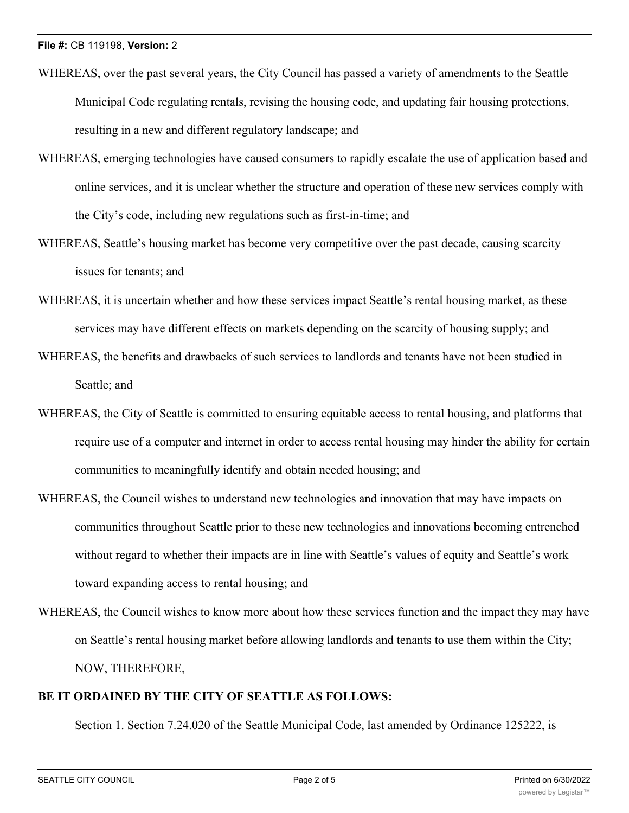- WHEREAS, over the past several years, the City Council has passed a variety of amendments to the Seattle Municipal Code regulating rentals, revising the housing code, and updating fair housing protections, resulting in a new and different regulatory landscape; and
- WHEREAS, emerging technologies have caused consumers to rapidly escalate the use of application based and online services, and it is unclear whether the structure and operation of these new services comply with the City's code, including new regulations such as first-in-time; and
- WHEREAS, Seattle's housing market has become very competitive over the past decade, causing scarcity issues for tenants; and
- WHEREAS, it is uncertain whether and how these services impact Seattle's rental housing market, as these services may have different effects on markets depending on the scarcity of housing supply; and
- WHEREAS, the benefits and drawbacks of such services to landlords and tenants have not been studied in Seattle; and
- WHEREAS, the City of Seattle is committed to ensuring equitable access to rental housing, and platforms that require use of a computer and internet in order to access rental housing may hinder the ability for certain communities to meaningfully identify and obtain needed housing; and
- WHEREAS, the Council wishes to understand new technologies and innovation that may have impacts on communities throughout Seattle prior to these new technologies and innovations becoming entrenched without regard to whether their impacts are in line with Seattle's values of equity and Seattle's work toward expanding access to rental housing; and
- WHEREAS, the Council wishes to know more about how these services function and the impact they may have on Seattle's rental housing market before allowing landlords and tenants to use them within the City; NOW, THEREFORE,

#### **BE IT ORDAINED BY THE CITY OF SEATTLE AS FOLLOWS:**

Section 1. Section 7.24.020 of the Seattle Municipal Code, last amended by Ordinance 125222, is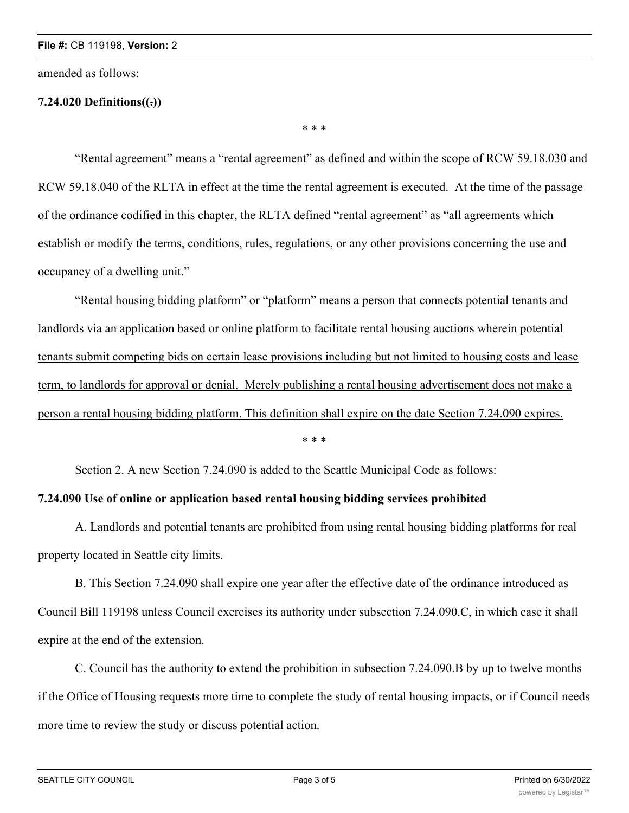amended as follows:

### **7.24.020 Definitions((.))**

"Rental agreement" means a "rental agreement" as defined and within the scope of RCW 59.18.030 and RCW 59.18.040 of the RLTA in effect at the time the rental agreement is executed. At the time of the passage of the ordinance codified in this chapter, the RLTA defined "rental agreement" as "all agreements which establish or modify the terms, conditions, rules, regulations, or any other provisions concerning the use and occupancy of a dwelling unit."

\* \* \*

"Rental housing bidding platform" or "platform" means a person that connects potential tenants and landlords via an application based or online platform to facilitate rental housing auctions wherein potential tenants submit competing bids on certain lease provisions including but not limited to housing costs and lease term, to landlords for approval or denial. Merely publishing a rental housing advertisement does not make a person a rental housing bidding platform. This definition shall expire on the date Section 7.24.090 expires.

\* \* \*

Section 2. A new Section 7.24.090 is added to the Seattle Municipal Code as follows:

#### **7.24.090 Use of online or application based rental housing bidding services prohibited**

A. Landlords and potential tenants are prohibited from using rental housing bidding platforms for real property located in Seattle city limits.

B. This Section 7.24.090 shall expire one year after the effective date of the ordinance introduced as Council Bill 119198 unless Council exercises its authority under subsection 7.24.090.C, in which case it shall expire at the end of the extension.

C. Council has the authority to extend the prohibition in subsection 7.24.090.B by up to twelve months if the Office of Housing requests more time to complete the study of rental housing impacts, or if Council needs more time to review the study or discuss potential action.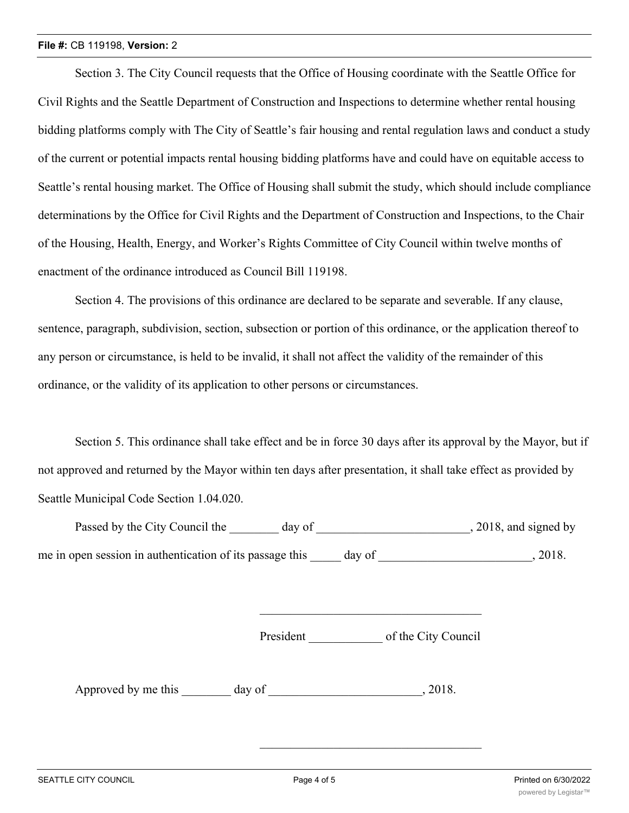#### **File #:** CB 119198, **Version:** 2

Section 3. The City Council requests that the Office of Housing coordinate with the Seattle Office for Civil Rights and the Seattle Department of Construction and Inspections to determine whether rental housing bidding platforms comply with The City of Seattle's fair housing and rental regulation laws and conduct a study of the current or potential impacts rental housing bidding platforms have and could have on equitable access to Seattle's rental housing market. The Office of Housing shall submit the study, which should include compliance determinations by the Office for Civil Rights and the Department of Construction and Inspections, to the Chair of the Housing, Health, Energy, and Worker's Rights Committee of City Council within twelve months of enactment of the ordinance introduced as Council Bill 119198.

Section 4. The provisions of this ordinance are declared to be separate and severable. If any clause, sentence, paragraph, subdivision, section, subsection or portion of this ordinance, or the application thereof to any person or circumstance, is held to be invalid, it shall not affect the validity of the remainder of this ordinance, or the validity of its application to other persons or circumstances.

Section 5. This ordinance shall take effect and be in force 30 days after its approval by the Mayor, but if not approved and returned by the Mayor within ten days after presentation, it shall take effect as provided by Seattle Municipal Code Section 1.04.020.

Passed by the City Council the day of the case of the case of the case of the case of the case of the case of the case of the case of the case of the case of the case of the case of the case of the case of the case of the me in open session in authentication of its passage this day of  $\qquad \qquad$ , 2018.

President of the City Council

\_\_\_\_\_\_\_\_\_\_\_\_\_\_\_\_\_\_\_\_\_\_\_\_\_\_\_\_\_\_\_\_\_\_\_\_

Approved by me this \_\_\_\_\_\_ day of \_\_\_\_\_\_\_\_\_\_\_\_\_\_\_\_\_\_\_\_\_\_, 2018.